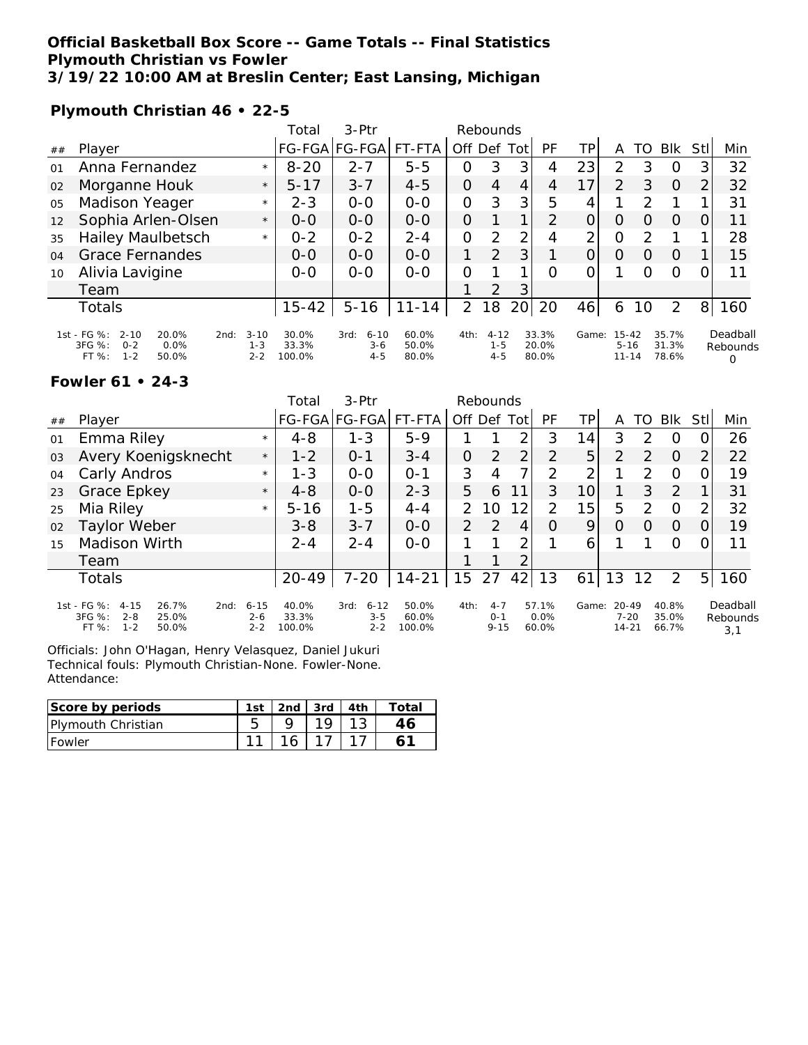### **Official Basketball Box Score -- Game Totals -- Final Statistics Plymouth Christian vs Fowler 3/19/22 10:00 AM at Breslin Center; East Lansing, Michigan**

**Plymouth Christian 46 • 22-5**

|    |                                                                                            |                                        | Total                    | $3-Ptr$                                | Rebounds                |                |                                |                |                         |                |                                    |                  |                         |                |                           |
|----|--------------------------------------------------------------------------------------------|----------------------------------------|--------------------------|----------------------------------------|-------------------------|----------------|--------------------------------|----------------|-------------------------|----------------|------------------------------------|------------------|-------------------------|----------------|---------------------------|
| ## | Player                                                                                     |                                        |                          | FG-FGA FG-FGA                          | FT-FTA                  | Off Def        |                                | Tot            | PF                      | ТP             | A                                  | TO               | <b>BIK</b>              | Stll           | Min                       |
| 01 | Anna Fernandez                                                                             | $\star$                                | $8 - 20$                 | $2 - 7$                                | $5 - 5$                 | 0              | 3                              | 3              | 4                       | 23             | 2                                  | 3                | O                       | 3              | 32                        |
| 02 | Morganne Houk                                                                              | $\star$                                | $5 - 17$                 | $3 - 7$                                | $4 - 5$                 | $\Omega$       | 4                              | 4              | 4                       | 17             | 2                                  | 3                | $\Omega$                | $\overline{2}$ | 32                        |
| 05 | Madison Yeager                                                                             | $\star$                                | $2 - 3$                  | $0 - 0$                                | $0 - 0$                 | 0              | 3                              | 3 <sub>l</sub> | 5                       | 4              |                                    | っ                |                         |                | 31                        |
| 12 | Sophia Arlen-Olsen                                                                         | $\star$                                | $O-O$                    | $0 - 0$                                | $0 - 0$                 | $\Omega$       |                                | 1              | 2                       | 0              | O                                  | $\left( \right)$ | $\Omega$                |                | 11                        |
| 35 | <b>Hailey Maulbetsch</b>                                                                   | $\star$                                | $0 - 2$                  | $0 - 2$                                | $2 - 4$                 | $\Omega$       | $\mathcal{P}$                  | 2              | 4                       | $\overline{2}$ | 0                                  | $\mathcal{P}$    |                         |                | 28                        |
| 04 | <b>Grace Fernandes</b>                                                                     |                                        | $O-O$                    | $0 - 0$                                | $0 - 0$                 | 1              | 2                              | 3              |                         | $\Omega$       | $\Omega$                           | O                | $\Omega$                |                | 15                        |
| 10 | Alivia Lavigine                                                                            |                                        | $0 - 0$                  | $0 - 0$                                | $0 - 0$                 | $\Omega$       |                                |                | O                       | 0              |                                    | Ω                | $\Omega$                |                | 11                        |
|    | Team                                                                                       |                                        |                          |                                        |                         |                | 2                              | 3              |                         |                |                                    |                  |                         |                |                           |
|    | Totals                                                                                     |                                        | $15 - 42$                | $5 - 16$                               | $11 - 14$               | $\overline{2}$ | 18                             | 20             | 20                      | 46             | 6                                  | 10               | 2                       | 8 <sup>1</sup> | 160                       |
|    | 1st - FG %:<br>$2 - 10$<br>20.0%<br>3FG %:<br>0.0%<br>$0 - 2$<br>$1 - 2$<br>FT %:<br>50.0% | $3 - 10$<br>2nd:<br>$1 - 3$<br>$2 - 2$ | 30.0%<br>33.3%<br>100.0% | $6 - 10$<br>3rd:<br>$3 - 6$<br>$4 - 5$ | 60.0%<br>50.0%<br>80.0% | 4th:           | $4 - 12$<br>$1 - 5$<br>$4 - 5$ |                | 33.3%<br>20.0%<br>80.0% | Game:          | $15 - 42$<br>$5 - 16$<br>$11 - 14$ |                  | 35.7%<br>31.3%<br>78.6% |                | Deadball<br>Rebounds<br>O |

### **Fowler 61 • 24-3**

|    |                                                                                                     |                                | Total                    | $3-Ptr$                                | Rebounds                 |               |                                |                 |                        |                 |                                    |               |                         |                |                             |
|----|-----------------------------------------------------------------------------------------------------|--------------------------------|--------------------------|----------------------------------------|--------------------------|---------------|--------------------------------|-----------------|------------------------|-----------------|------------------------------------|---------------|-------------------------|----------------|-----------------------------|
| ## | Player                                                                                              |                                |                          | FG-FGA FG-FGA                          | FT-FTA                   |               | Off Def                        | <b>Tot</b>      | <b>PF</b>              | TP.             | A                                  | TO            | <b>BIK</b>              | Stll           | Min                         |
| 01 | Emma Riley                                                                                          | $\star$                        | $4 - 8$                  | $1 - 3$                                | $5 - 9$                  |               |                                | 2               | 3                      | 14              | 3                                  | $\mathcal{P}$ | O                       |                | 26                          |
| 03 | Avery Koenigsknecht                                                                                 | $\star$                        | $1 - 2$                  | $O - 1$                                | $3 - 4$                  | 0             | 2                              | 2               | 2                      | 5               | 2                                  | 2             | $\overline{0}$          | $\overline{2}$ | 22                          |
| 04 | Carly Andros                                                                                        | $\star$                        | $1 - 3$                  | $0 - 0$                                | $O - 1$                  | 3             | 4                              | 7               | $\mathcal{P}$          | 2               |                                    | $\mathcal{P}$ | O                       |                | 19                          |
| 23 | Grace Epkey                                                                                         | $\star$                        | $4 - 8$                  | $0 - 0$                                | $2 - 3$                  | 5             | 6                              | 11              | 3                      | 10              |                                    | 3             | 2                       |                | 31                          |
| 25 | Mia Riley                                                                                           | $\star$                        | $5 - 16$                 | $1 - 5$                                | $4 - 4$                  | 2.            | 10                             | 12 <sub>1</sub> | 2                      | 15 <sub>1</sub> | 5                                  | 2             | $\Omega$                | 2              | 32                          |
| 02 | Taylor Weber                                                                                        |                                | $3 - 8$                  | $3 - 7$                                | $0 - 0$                  | $\mathcal{P}$ | 2                              | 4               | $\Omega$               | 9               | O                                  | Ο             | $\Omega$                |                | 19                          |
| 15 | <b>Madison Wirth</b>                                                                                |                                | $2 - 4$                  | $2 - 4$                                | $0 - 0$                  |               |                                | 2               |                        | 6               |                                    |               | O                       |                | 11                          |
|    | Team                                                                                                |                                |                          |                                        |                          |               |                                | 2               |                        |                 |                                    |               |                         |                |                             |
|    | <b>Totals</b>                                                                                       |                                | 20-49                    | $7 - 20$                               | $14 - 21$                | 15            | 27                             | 42              | 13                     | 61              | 13                                 | 12            | 2                       | 5 <sub>l</sub> | 160                         |
|    | 1st - FG %:<br>26.7%<br>$4 - 15$<br>2nd:<br>3FG %:<br>$2 - 8$<br>25.0%<br>$1 - 2$<br>FT %:<br>50.0% | $6 - 15$<br>$2 - 6$<br>$2 - 2$ | 40.0%<br>33.3%<br>100.0% | $6 - 12$<br>3rd:<br>$3 - 5$<br>$2 - 2$ | 50.0%<br>60.0%<br>100.0% | 4th:          | $4 - 7$<br>$O - 1$<br>$9 - 15$ |                 | 57.1%<br>0.0%<br>60.0% | Game:           | $20 - 49$<br>$7 - 20$<br>$14 - 21$ |               | 40.8%<br>35.0%<br>66.7% |                | Deadball<br>Rebounds<br>3,1 |

Officials: John O'Hagan, Henry Velasquez, Daniel Jukuri Technical fouls: Plymouth Christian-None. Fowler-None. Attendance:

| Score by periods           | 1st | 2nd | 3rd | ™otai |
|----------------------------|-----|-----|-----|-------|
| <b>IPlymouth Christian</b> |     |     |     |       |
| <b>IFowler</b>             |     |     |     |       |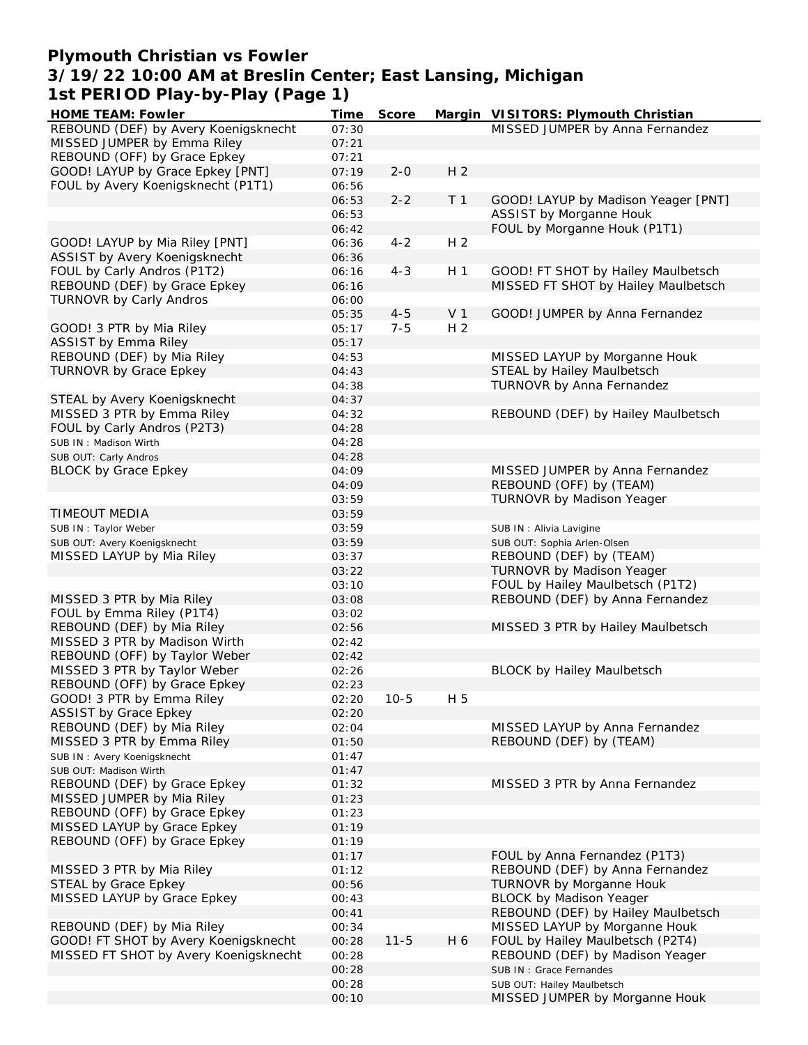## **Plymouth Christian vs Fowler 3/19/22 10:00 AM at Breslin Center; East Lansing, Michigan 1st PERIOD Play-by-Play (Page 1)**

| HOME TEAM: Fowler                     | Time  | Score    |                | Margin VISITORS: Plymouth Christian |
|---------------------------------------|-------|----------|----------------|-------------------------------------|
| REBOUND (DEF) by Avery Koenigsknecht  | 07:30 |          |                | MISSED JUMPER by Anna Fernandez     |
| MISSED JUMPER by Emma Riley           | 07:21 |          |                |                                     |
| REBOUND (OFF) by Grace Epkey          | 07:21 |          |                |                                     |
| GOOD! LAYUP by Grace Epkey [PNT]      | 07:19 | $2 - 0$  | H <sub>2</sub> |                                     |
| FOUL by Avery Koenigsknecht (P1T1)    | 06:56 |          |                |                                     |
|                                       | 06:53 | $2 - 2$  | T <sub>1</sub> | GOOD! LAYUP by Madison Yeager [PNT] |
|                                       | 06:53 |          |                | ASSIST by Morganne Houk             |
|                                       | 06:42 |          |                | FOUL by Morganne Houk (P1T1)        |
| GOOD! LAYUP by Mia Riley [PNT]        | 06:36 | $4 - 2$  | H <sub>2</sub> |                                     |
| ASSIST by Avery Koenigsknecht         | 06:36 |          |                |                                     |
| FOUL by Carly Andros (P1T2)           | 06:16 | $4 - 3$  | H <sub>1</sub> | GOOD! FT SHOT by Hailey Maulbetsch  |
| REBOUND (DEF) by Grace Epkey          | 06:16 |          |                | MISSED FT SHOT by Hailey Maulbetsch |
| <b>TURNOVR by Carly Andros</b>        | 06:00 |          |                |                                     |
|                                       | 05:35 | $4 - 5$  | V <sub>1</sub> | GOOD! JUMPER by Anna Fernandez      |
| GOOD! 3 PTR by Mia Riley              | 05:17 | $7 - 5$  | H <sub>2</sub> |                                     |
| <b>ASSIST by Emma Riley</b>           | 05:17 |          |                |                                     |
| REBOUND (DEF) by Mia Riley            |       |          |                |                                     |
|                                       | 04:53 |          |                | MISSED LAYUP by Morganne Houk       |
| <b>TURNOVR by Grace Epkey</b>         | 04:43 |          |                | STEAL by Hailey Maulbetsch          |
|                                       | 04:38 |          |                | TURNOVR by Anna Fernandez           |
| STEAL by Avery Koenigsknecht          | 04:37 |          |                |                                     |
| MISSED 3 PTR by Emma Riley            | 04:32 |          |                | REBOUND (DEF) by Hailey Maulbetsch  |
| FOUL by Carly Andros (P2T3)           | 04:28 |          |                |                                     |
| SUB IN: Madison Wirth                 | 04:28 |          |                |                                     |
| SUB OUT: Carly Andros                 | 04:28 |          |                |                                     |
| <b>BLOCK by Grace Epkey</b>           | 04:09 |          |                | MISSED JUMPER by Anna Fernandez     |
|                                       | 04:09 |          |                | REBOUND (OFF) by (TEAM)             |
|                                       | 03:59 |          |                | <b>TURNOVR by Madison Yeager</b>    |
| TIMEOUT MEDIA                         | 03:59 |          |                |                                     |
| SUB IN: Taylor Weber                  | 03:59 |          |                | SUB IN : Alivia Lavigine            |
| SUB OUT: Avery Koenigsknecht          | 03:59 |          |                | SUB OUT: Sophia Arlen-Olsen         |
| MISSED LAYUP by Mia Riley             | 03:37 |          |                | REBOUND (DEF) by (TEAM)             |
|                                       | 03:22 |          |                | TURNOVR by Madison Yeager           |
|                                       | 03:10 |          |                | FOUL by Hailey Maulbetsch (P1T2)    |
| MISSED 3 PTR by Mia Riley             | 03:08 |          |                | REBOUND (DEF) by Anna Fernandez     |
| FOUL by Emma Riley (P1T4)             | 03:02 |          |                |                                     |
| REBOUND (DEF) by Mia Riley            | 02:56 |          |                | MISSED 3 PTR by Hailey Maulbetsch   |
| MISSED 3 PTR by Madison Wirth         | 02:42 |          |                |                                     |
| REBOUND (OFF) by Taylor Weber         | 02:42 |          |                |                                     |
| MISSED 3 PTR by Taylor Weber          | 02:26 |          |                | <b>BLOCK by Hailey Maulbetsch</b>   |
| REBOUND (OFF) by Grace Epkey          | 02:23 |          |                |                                     |
| GOOD! 3 PTR by Emma Riley             | 02:20 | $10-5$   | H 5            |                                     |
| <b>ASSIST by Grace Epkey</b>          | 02:20 |          |                |                                     |
| REBOUND (DEF) by Mia Riley            | 02:04 |          |                | MISSED LAYUP by Anna Fernandez      |
| MISSED 3 PTR by Emma Riley            | 01:50 |          |                | REBOUND (DEF) by (TEAM)             |
| SUB IN: Avery Koenigsknecht           | 01:47 |          |                |                                     |
| SUB OUT: Madison Wirth                | 01:47 |          |                |                                     |
| REBOUND (DEF) by Grace Epkey          | 01:32 |          |                | MISSED 3 PTR by Anna Fernandez      |
| MISSED JUMPER by Mia Riley            | 01:23 |          |                |                                     |
| REBOUND (OFF) by Grace Epkey          | 01:23 |          |                |                                     |
| MISSED LAYUP by Grace Epkey           | 01:19 |          |                |                                     |
| REBOUND (OFF) by Grace Epkey          | 01:19 |          |                |                                     |
|                                       | 01:17 |          |                | FOUL by Anna Fernandez (P1T3)       |
| MISSED 3 PTR by Mia Riley             | 01:12 |          |                | REBOUND (DEF) by Anna Fernandez     |
| STEAL by Grace Epkey                  | 00:56 |          |                | TURNOVR by Morganne Houk            |
| MISSED LAYUP by Grace Epkey           | 00:43 |          |                | <b>BLOCK by Madison Yeager</b>      |
|                                       | 00:41 |          |                | REBOUND (DEF) by Hailey Maulbetsch  |
| REBOUND (DEF) by Mia Riley            |       |          |                | MISSED LAYUP by Morganne Houk       |
| GOOD! FT SHOT by Avery Koenigsknecht  | 00:34 |          | H 6            |                                     |
|                                       | 00:28 | $11 - 5$ |                | FOUL by Hailey Maulbetsch (P2T4)    |
| MISSED FT SHOT by Avery Koenigsknecht | 00:28 |          |                | REBOUND (DEF) by Madison Yeager     |
|                                       | 00:28 |          |                | SUB IN: Grace Fernandes             |
|                                       | 00:28 |          |                | SUB OUT: Hailey Maulbetsch          |
|                                       | 00:10 |          |                | MISSED JUMPER by Morganne Houk      |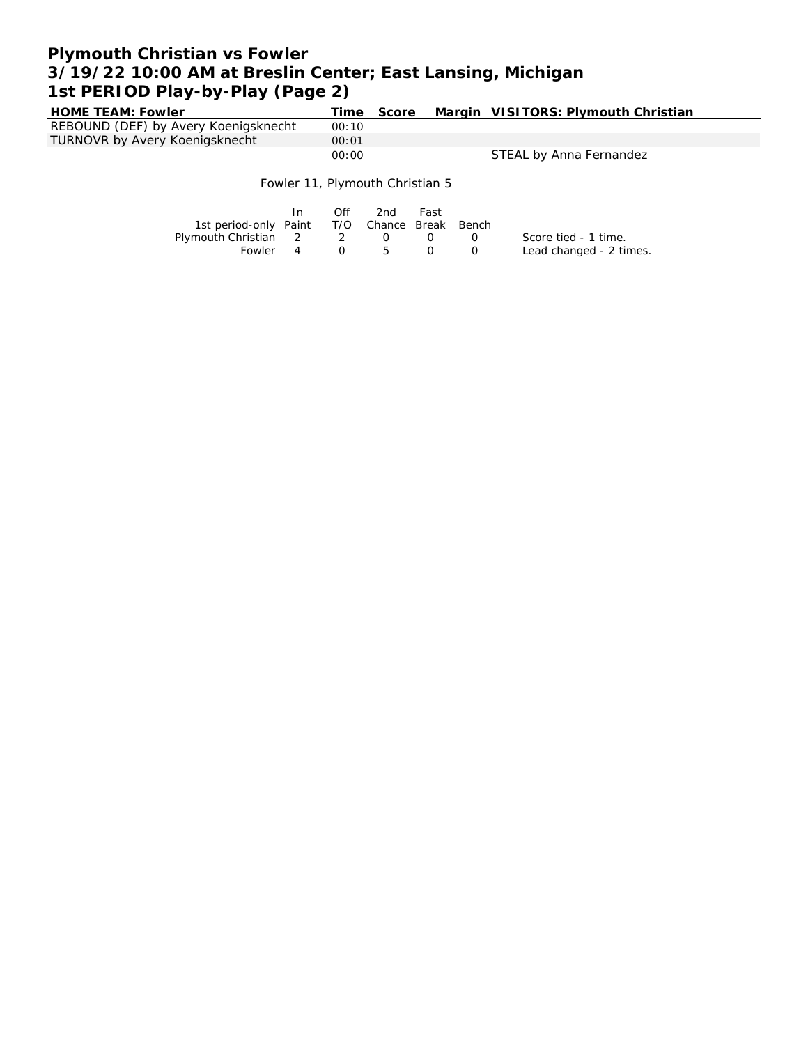# **Plymouth Christian vs Fowler 3/19/22 10:00 AM at Breslin Center; East Lansing, Michigan 1st PERIOD Play-by-Play (Page 2)**

| <b>HOME TEAM: Fowler</b>             | Time  | Score | Margin VISITORS: Plymouth Christian |
|--------------------------------------|-------|-------|-------------------------------------|
| REBOUND (DEF) by Avery Koenigsknecht | 00:10 |       |                                     |
| TURNOVR by Avery Koenigsknecht       | 00:01 |       |                                     |
|                                      | 00:00 |       | STEAL by Anna Fernandez             |
|                                      |       |       |                                     |

Fowler 11, Plymouth Christian 5

|                                              |          | Off | 2nd        | Fast |                  |                         |
|----------------------------------------------|----------|-----|------------|------|------------------|-------------------------|
| 1st period-only Paint T/O Chance Break Bench |          |     |            |      |                  |                         |
| Plymouth Christian 2 2 0                     |          |     |            | ()   | $\left( \right)$ | Score tied - 1 time.    |
| Fowler                                       | $\sim$ 4 |     | $0\quad 5$ | . O  | $\left( \right)$ | Lead changed - 2 times. |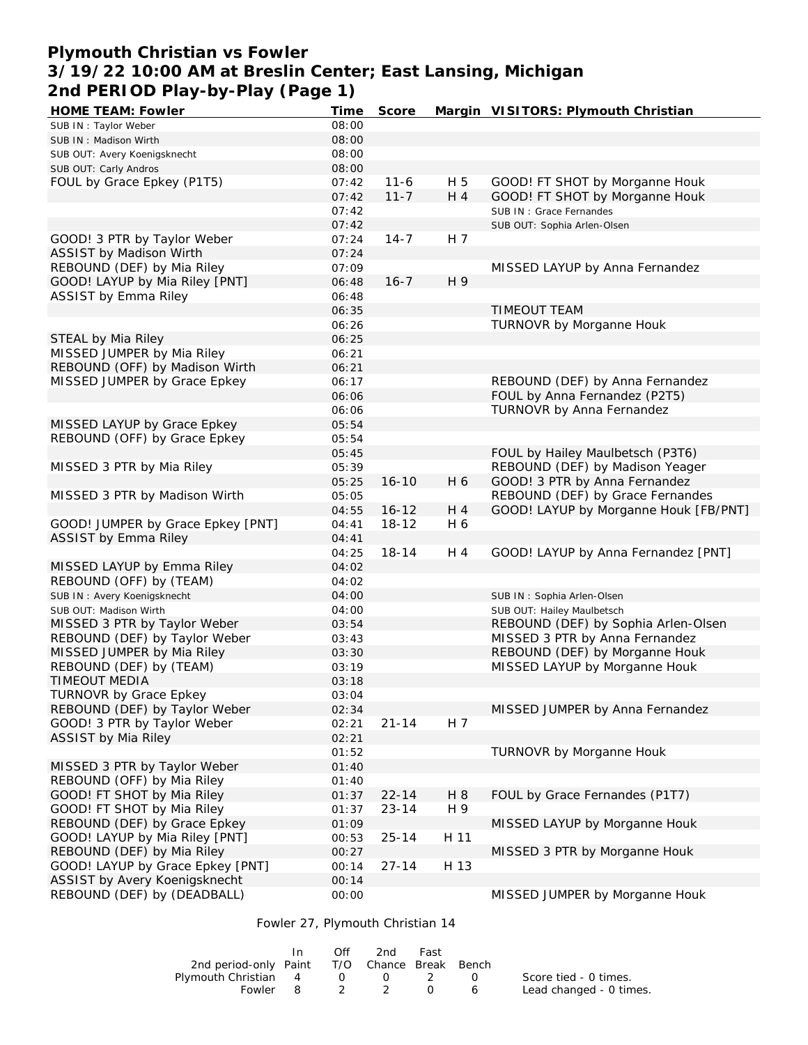## **Plymouth Christian vs Fowler 3/19/22 10:00 AM at Breslin Center; East Lansing, Michigan 2nd PERIOD Play-by-Play (Page 1)**

| <b>HOME TEAM: Fowler</b>          | Time  | Score     |      | Margin VISITORS: Plymouth Christian   |
|-----------------------------------|-------|-----------|------|---------------------------------------|
| SUB IN: Taylor Weber              | 08:00 |           |      |                                       |
| SUB IN: Madison Wirth             | 08:00 |           |      |                                       |
| SUB OUT: Avery Koenigsknecht      | 08:00 |           |      |                                       |
| SUB OUT: Carly Andros             | 08:00 |           |      |                                       |
| FOUL by Grace Epkey (P1T5)        | 07:42 | $11 - 6$  | H 5  | GOOD! FT SHOT by Morganne Houk        |
|                                   | 07:42 | $11 - 7$  | H 4  | GOOD! FT SHOT by Morganne Houk        |
|                                   | 07:42 |           |      | SUB IN: Grace Fernandes               |
|                                   | 07:42 |           |      | SUB OUT: Sophia Arlen-Olsen           |
| GOOD! 3 PTR by Taylor Weber       | 07:24 | $14 - 7$  | H 7  |                                       |
| ASSIST by Madison Wirth           | 07:24 |           |      |                                       |
| REBOUND (DEF) by Mia Riley        | 07:09 |           |      | MISSED LAYUP by Anna Fernandez        |
| GOOD! LAYUP by Mia Riley [PNT]    | 06:48 | $16 - 7$  | H 9  |                                       |
| ASSIST by Emma Riley              | 06:48 |           |      |                                       |
|                                   | 06:35 |           |      | <b>TIMEOUT TEAM</b>                   |
|                                   | 06:26 |           |      | TURNOVR by Morganne Houk              |
| STEAL by Mia Riley                | 06:25 |           |      |                                       |
| MISSED JUMPER by Mia Riley        | 06:21 |           |      |                                       |
| REBOUND (OFF) by Madison Wirth    | 06:21 |           |      |                                       |
| MISSED JUMPER by Grace Epkey      | 06:17 |           |      | REBOUND (DEF) by Anna Fernandez       |
|                                   | 06:06 |           |      | FOUL by Anna Fernandez (P2T5)         |
|                                   | 06:06 |           |      | TURNOVR by Anna Fernandez             |
| MISSED LAYUP by Grace Epkey       | 05:54 |           |      |                                       |
| REBOUND (OFF) by Grace Epkey      | 05:54 |           |      |                                       |
|                                   | 05:45 |           |      | FOUL by Hailey Maulbetsch (P3T6)      |
| MISSED 3 PTR by Mia Riley         | 05:39 |           |      | REBOUND (DEF) by Madison Yeager       |
|                                   | 05:25 | $16 - 10$ | H 6  | GOOD! 3 PTR by Anna Fernandez         |
| MISSED 3 PTR by Madison Wirth     | 05:05 |           |      | REBOUND (DEF) by Grace Fernandes      |
|                                   | 04:55 | $16 - 12$ | H 4  | GOOD! LAYUP by Morganne Houk [FB/PNT] |
| GOOD! JUMPER by Grace Epkey [PNT] | 04:41 | $18 - 12$ | H 6  |                                       |
| <b>ASSIST by Emma Riley</b>       | 04:41 |           |      |                                       |
|                                   | 04:25 | $18 - 14$ | H 4  | GOOD! LAYUP by Anna Fernandez [PNT]   |
| MISSED LAYUP by Emma Riley        | 04:02 |           |      |                                       |
| REBOUND (OFF) by (TEAM)           | 04:02 |           |      |                                       |
| SUB IN: Avery Koenigsknecht       | 04:00 |           |      | SUB IN: Sophia Arlen-Olsen            |
| SUB OUT: Madison Wirth            | 04:00 |           |      | SUB OUT: Hailey Maulbetsch            |
| MISSED 3 PTR by Taylor Weber      | 03:54 |           |      | REBOUND (DEF) by Sophia Arlen-Olsen   |
| REBOUND (DEF) by Taylor Weber     | 03:43 |           |      | MISSED 3 PTR by Anna Fernandez        |
| MISSED JUMPER by Mia Riley        | 03:30 |           |      | REBOUND (DEF) by Morganne Houk        |
| REBOUND (DEF) by (TEAM)           | 03:19 |           |      | MISSED LAYUP by Morganne Houk         |
| TIMEOUT MEDIA                     | 03:18 |           |      |                                       |
| <b>TURNOVR by Grace Epkey</b>     | 03:04 |           |      |                                       |
| REBOUND (DEF) by Taylor Weber     | 02:34 |           |      | MISSED JUMPER by Anna Fernandez       |
| GOOD! 3 PTR by Taylor Weber       | 02:21 | $21 - 14$ | H 7  |                                       |
| ASSIST by Mia Riley               | 02:21 |           |      |                                       |
|                                   | 01:52 |           |      | TURNOVR by Morganne Houk              |
| MISSED 3 PTR by Taylor Weber      | 01:40 |           |      |                                       |
| REBOUND (OFF) by Mia Riley        | 01:40 |           |      |                                       |
| GOOD! FT SHOT by Mia Riley        | 01:37 | $22 - 14$ | H 8  | FOUL by Grace Fernandes (P1T7)        |
| GOOD! FT SHOT by Mia Riley        | 01:37 | $23 - 14$ | H 9  |                                       |
| REBOUND (DEF) by Grace Epkey      | 01:09 |           |      | MISSED LAYUP by Morganne Houk         |
| GOOD! LAYUP by Mia Riley [PNT]    | 00:53 | $25 - 14$ | H 11 |                                       |
| REBOUND (DEF) by Mia Riley        | 00:27 |           |      | MISSED 3 PTR by Morganne Houk         |
| GOOD! LAYUP by Grace Epkey [PNT]  | 00:14 | $27 - 14$ | H 13 |                                       |
| ASSIST by Avery Koenigsknecht     | 00:14 |           |      |                                       |
| REBOUND (DEF) by (DEADBALL)       | 00:00 |           |      | MISSED JUMPER by Morganne Houk        |
|                                   |       |           |      |                                       |

Fowler 27, Plymouth Christian 14

|                                              | Off | 2nd            | Fast |                 |                         |
|----------------------------------------------|-----|----------------|------|-----------------|-------------------------|
| 2nd period-only Paint T/O Chance Break Bench |     |                |      |                 |                         |
| Plymouth Christian 4 0 0 2                   |     |                |      | $\cap$          | Score tied - 0 times.   |
|                                              |     | Fowler 8 2 2 0 |      | $6\overline{6}$ | Lead changed - 0 times. |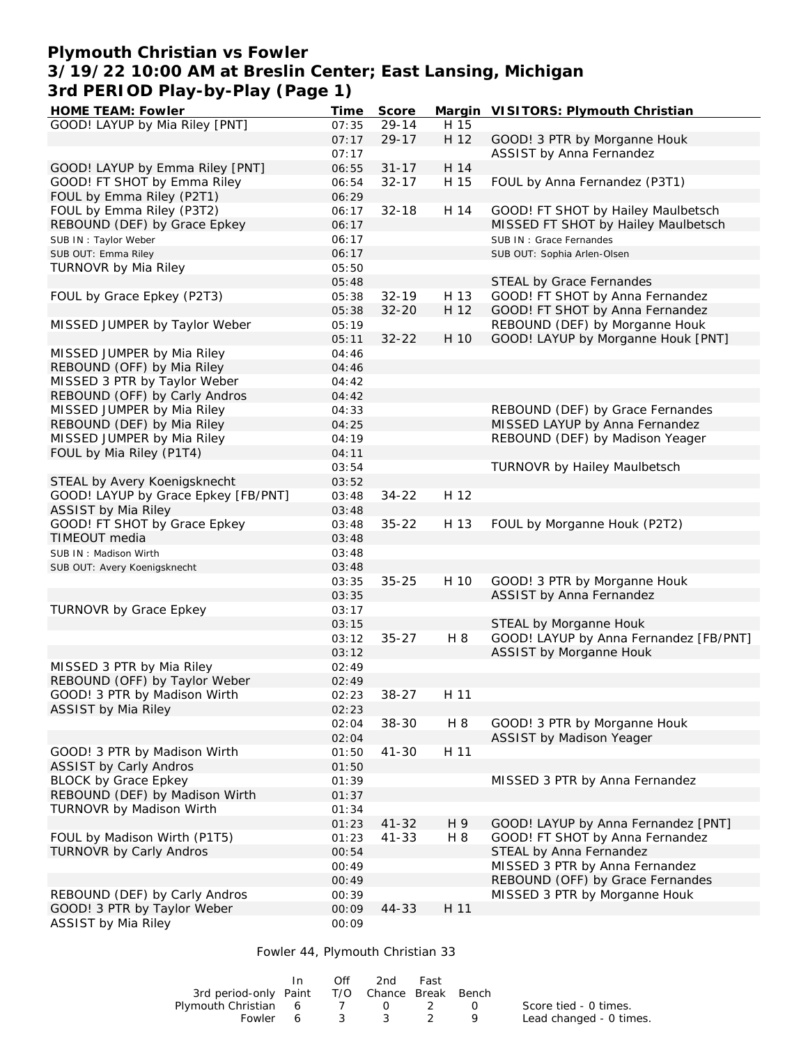## **Plymouth Christian vs Fowler 3/19/22 10:00 AM at Breslin Center; East Lansing, Michigan 3rd PERIOD Play-by-Play (Page 1)**

| HOME TEAM: Fowler                                              | Time           | Score     |      | Margin VISITORS: Plymouth Christian                        |
|----------------------------------------------------------------|----------------|-----------|------|------------------------------------------------------------|
| GOOD! LAYUP by Mia Riley [PNT]                                 | 07:35          | $29 - 14$ | H 15 |                                                            |
|                                                                | 07:17          | $29 - 17$ | H 12 | GOOD! 3 PTR by Morganne Houk                               |
|                                                                | 07:17          |           |      | ASSIST by Anna Fernandez                                   |
| GOOD! LAYUP by Emma Riley [PNT]                                | 06:55          | $31 - 17$ | H 14 |                                                            |
| GOOD! FT SHOT by Emma Riley                                    | 06:54          | $32 - 17$ | H 15 | FOUL by Anna Fernandez (P3T1)                              |
| FOUL by Emma Riley (P2T1)                                      | 06:29          |           |      |                                                            |
| FOUL by Emma Riley (P3T2)                                      | 06:17          | $32 - 18$ | H 14 | GOOD! FT SHOT by Hailey Maulbetsch                         |
| REBOUND (DEF) by Grace Epkey                                   | 06:17          |           |      | MISSED FT SHOT by Hailey Maulbetsch                        |
| SUB IN: Taylor Weber                                           | 06:17          |           |      | SUB IN: Grace Fernandes                                    |
| SUB OUT: Emma Riley                                            | 06:17          |           |      | SUB OUT: Sophia Arlen-Olsen                                |
| TURNOVR by Mia Riley                                           | 05:50          |           |      |                                                            |
|                                                                | 05:48          |           |      | STEAL by Grace Fernandes                                   |
| FOUL by Grace Epkey (P2T3)                                     | 05:38          | $32 - 19$ | H 13 | GOOD! FT SHOT by Anna Fernandez                            |
|                                                                | 05:38          | $32 - 20$ | H 12 | GOOD! FT SHOT by Anna Fernandez                            |
| MISSED JUMPER by Taylor Weber                                  | 05:19          |           |      | REBOUND (DEF) by Morganne Houk                             |
|                                                                | 05:11          | $32 - 22$ | H 10 | GOOD! LAYUP by Morganne Houk [PNT]                         |
| MISSED JUMPER by Mia Riley                                     | 04:46          |           |      |                                                            |
| REBOUND (OFF) by Mia Riley                                     | 04:46          |           |      |                                                            |
| MISSED 3 PTR by Taylor Weber                                   | 04:42          |           |      |                                                            |
| REBOUND (OFF) by Carly Andros                                  | 04:42          |           |      |                                                            |
| MISSED JUMPER by Mia Riley                                     | 04:33          |           |      | REBOUND (DEF) by Grace Fernandes                           |
| REBOUND (DEF) by Mia Riley                                     | 04:25          |           |      | MISSED LAYUP by Anna Fernandez                             |
| MISSED JUMPER by Mia Riley                                     | 04:19          |           |      | REBOUND (DEF) by Madison Yeager                            |
| FOUL by Mia Riley (P1T4)                                       | 04:11          |           |      |                                                            |
|                                                                | 03:54          |           |      | TURNOVR by Hailey Maulbetsch                               |
| STEAL by Avery Koenigsknecht                                   | 03:52          |           |      |                                                            |
| GOOD! LAYUP by Grace Epkey [FB/PNT]                            | 03:48          | $34 - 22$ | H 12 |                                                            |
| ASSIST by Mia Riley                                            | 03:48          |           |      |                                                            |
| GOOD! FT SHOT by Grace Epkey                                   | 03:48          | $35 - 22$ | H 13 | FOUL by Morganne Houk (P2T2)                               |
| TIMEOUT media                                                  | 03:48          |           |      |                                                            |
| SUB IN: Madison Wirth                                          | 03:48          |           |      |                                                            |
| SUB OUT: Avery Koenigsknecht                                   | 03:48          |           |      |                                                            |
|                                                                | 03:35          | $35 - 25$ | H 10 | GOOD! 3 PTR by Morganne Houk                               |
|                                                                | 03:35          |           |      | ASSIST by Anna Fernandez                                   |
| TURNOVR by Grace Epkey                                         | 03:17          |           |      |                                                            |
|                                                                | 03:15          |           |      | STEAL by Morganne Houk                                     |
|                                                                | 03:12          | $35 - 27$ | H 8  | GOOD! LAYUP by Anna Fernandez [FB/PNT]                     |
|                                                                | 03:12          |           |      | ASSIST by Morganne Houk                                    |
| MISSED 3 PTR by Mia Riley                                      | 02:49          |           |      |                                                            |
| REBOUND (OFF) by Taylor Weber                                  | 02:49          |           |      |                                                            |
| GOOD! 3 PTR by Madison Wirth                                   | 02:23          | $38 - 27$ | H 11 |                                                            |
| ASSIST by Mia Riley                                            | 02:23          |           |      |                                                            |
|                                                                | 02:04          | 38-30     | H 8  | GOOD! 3 PTR by Morganne Houk                               |
|                                                                | 02:04          | $41 - 30$ | H 11 | ASSIST by Madison Yeager                                   |
| GOOD! 3 PTR by Madison Wirth                                   | 01:50          |           |      |                                                            |
| <b>ASSIST by Carly Andros</b><br><b>BLOCK by Grace Epkey</b>   | 01:50<br>01:39 |           |      | MISSED 3 PTR by Anna Fernandez                             |
| REBOUND (DEF) by Madison Wirth                                 |                |           |      |                                                            |
|                                                                | 01:37          |           |      |                                                            |
| TURNOVR by Madison Wirth                                       | 01:34          | $41 - 32$ |      | GOOD! LAYUP by Anna Fernandez [PNT]                        |
|                                                                | 01:23          |           | H 9  |                                                            |
| FOUL by Madison Wirth (P1T5)<br><b>TURNOVR by Carly Andros</b> | 01:23<br>00:54 | $41 - 33$ | H 8  | GOOD! FT SHOT by Anna Fernandez<br>STEAL by Anna Fernandez |
|                                                                | 00:49          |           |      | MISSED 3 PTR by Anna Fernandez                             |
|                                                                | 00:49          |           |      | REBOUND (OFF) by Grace Fernandes                           |
| REBOUND (DEF) by Carly Andros                                  | 00:39          |           |      | MISSED 3 PTR by Morganne Houk                              |
| GOOD! 3 PTR by Taylor Weber                                    | 00:09          | 44-33     | H 11 |                                                            |
| ASSIST by Mia Riley                                            | 00:09          |           |      |                                                            |

#### Fowler 44, Plymouth Christian 33

|                                              | In In | Off | 2nd            | Fast |                |                         |
|----------------------------------------------|-------|-----|----------------|------|----------------|-------------------------|
| 3rd period-only Paint T/O Chance Break Bench |       |     |                |      |                |                         |
| Plymouth Christian 6 7 0 2                   |       |     |                |      | $\overline{0}$ | Score tied - 0 times.   |
|                                              |       |     | Fowler 6 3 3 2 |      |                | Lead changed - 0 times. |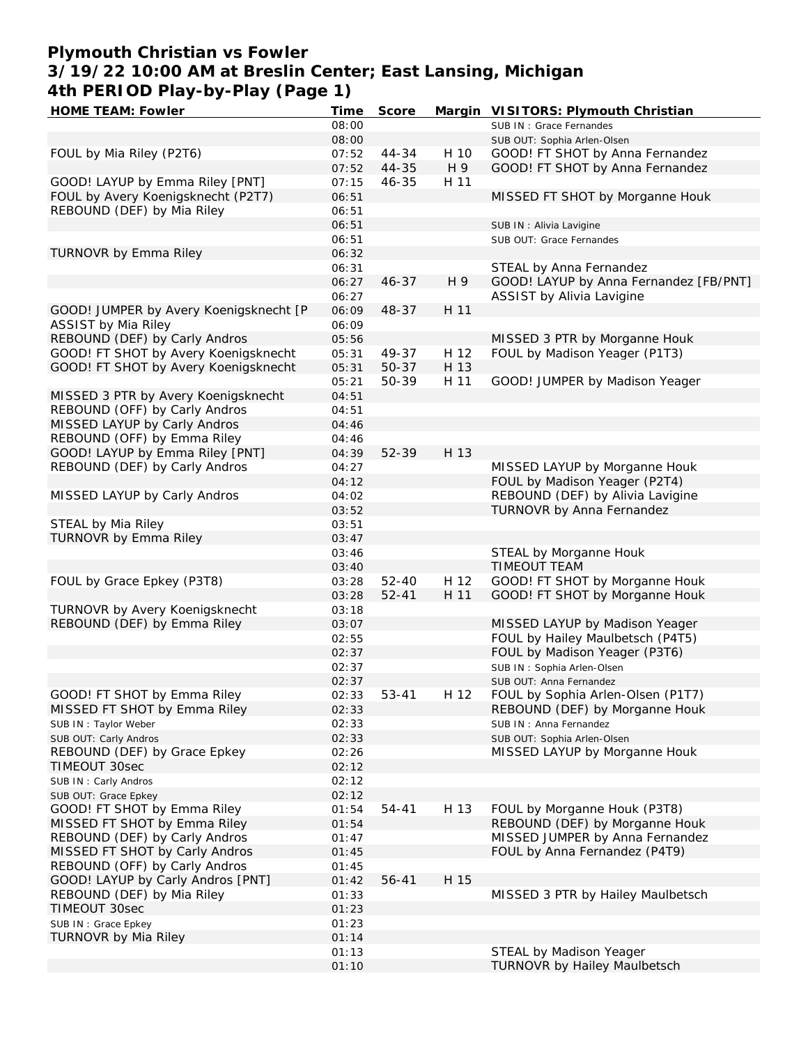# **Plymouth Christian vs Fowler 3/19/22 10:00 AM at Breslin Center; East Lansing, Michigan 4th PERIOD Play-by-Play (Page 1)**

| HOME TEAM: Fowler                      | Time  | Score     |      | Margin VISITORS: Plymouth Christian    |
|----------------------------------------|-------|-----------|------|----------------------------------------|
|                                        | 08:00 |           |      | SUB IN: Grace Fernandes                |
|                                        | 08:00 |           |      | SUB OUT: Sophia Arlen-Olsen            |
| FOUL by Mia Riley (P2T6)               | 07:52 | 44-34     | H 10 | GOOD! FT SHOT by Anna Fernandez        |
|                                        | 07:52 | 44-35     | H 9  | GOOD! FT SHOT by Anna Fernandez        |
| GOOD! LAYUP by Emma Riley [PNT]        | 07:15 | $46 - 35$ | H 11 |                                        |
| FOUL by Avery Koenigsknecht (P2T7)     | 06:51 |           |      | MISSED FT SHOT by Morganne Houk        |
| REBOUND (DEF) by Mia Riley             | 06:51 |           |      |                                        |
|                                        | 06:51 |           |      | SUB IN : Alivia Lavigine               |
|                                        | 06:51 |           |      | SUB OUT: Grace Fernandes               |
| TURNOVR by Emma Riley                  | 06:32 |           |      |                                        |
|                                        | 06:31 |           |      | STEAL by Anna Fernandez                |
|                                        | 06:27 | $46 - 37$ | H 9  | GOOD! LAYUP by Anna Fernandez [FB/PNT] |
|                                        | 06:27 |           |      | ASSIST by Alivia Lavigine              |
| GOOD! JUMPER by Avery Koenigsknecht [P | 06:09 | 48-37     | H 11 |                                        |
| ASSIST by Mia Riley                    | 06:09 |           |      |                                        |
| REBOUND (DEF) by Carly Andros          | 05:56 |           |      | MISSED 3 PTR by Morganne Houk          |
| GOOD! FT SHOT by Avery Koenigsknecht   | 05:31 | 49-37     | H 12 | FOUL by Madison Yeager (P1T3)          |
| GOOD! FT SHOT by Avery Koenigsknecht   | 05:31 | 50-37     | H 13 |                                        |
|                                        | 05:21 | 50-39     | H 11 | GOOD! JUMPER by Madison Yeager         |
| MISSED 3 PTR by Avery Koenigsknecht    | 04:51 |           |      |                                        |
| REBOUND (OFF) by Carly Andros          | 04:51 |           |      |                                        |
| MISSED LAYUP by Carly Andros           | 04:46 |           |      |                                        |
| REBOUND (OFF) by Emma Riley            | 04:46 |           |      |                                        |
| GOOD! LAYUP by Emma Riley [PNT]        | 04:39 | 52-39     | H 13 |                                        |
| REBOUND (DEF) by Carly Andros          | 04:27 |           |      | MISSED LAYUP by Morganne Houk          |
|                                        | 04:12 |           |      | FOUL by Madison Yeager (P2T4)          |
| MISSED LAYUP by Carly Andros           | 04:02 |           |      | REBOUND (DEF) by Alivia Lavigine       |
|                                        | 03:52 |           |      | TURNOVR by Anna Fernandez              |
| STEAL by Mia Riley                     | 03:51 |           |      |                                        |
| TURNOVR by Emma Riley                  | 03:47 |           |      |                                        |
|                                        | 03:46 |           |      | STEAL by Morganne Houk                 |
|                                        | 03:40 |           |      | <b>TIMEOUT TEAM</b>                    |
| FOUL by Grace Epkey (P3T8)             | 03:28 | $52 - 40$ | H 12 | GOOD! FT SHOT by Morganne Houk         |
|                                        | 03:28 | $52 - 41$ | H 11 | GOOD! FT SHOT by Morganne Houk         |
| TURNOVR by Avery Koenigsknecht         | 03:18 |           |      |                                        |
| REBOUND (DEF) by Emma Riley            | 03:07 |           |      | MISSED LAYUP by Madison Yeager         |
|                                        | 02:55 |           |      | FOUL by Hailey Maulbetsch (P4T5)       |
|                                        | 02:37 |           |      | FOUL by Madison Yeager (P3T6)          |
|                                        | 02:37 |           |      | SUB IN: Sophia Arlen-Olsen             |
|                                        | 02:37 |           |      | SUB OUT: Anna Fernandez                |
| GOOD! FT SHOT by Emma Riley            | 02:33 | $53 - 41$ | H 12 | FOUL by Sophia Arlen-Olsen (P1T7)      |
| MISSED FT SHOT by Emma Riley           | 02:33 |           |      | REBOUND (DEF) by Morganne Houk         |
| SUB IN: Taylor Weber                   | 02:33 |           |      | SUB IN: Anna Fernandez                 |
| SUB OUT: Carly Andros                  | 02:33 |           |      | SUB OUT: Sophia Arlen-Olsen            |
| REBOUND (DEF) by Grace Epkey           | 02:26 |           |      | MISSED LAYUP by Morganne Houk          |
| TIMEOUT 30sec                          | 02:12 |           |      |                                        |
| SUB IN: Carly Andros                   | 02:12 |           |      |                                        |
| SUB OUT: Grace Epkey                   | 02:12 |           |      |                                        |
| GOOD! FT SHOT by Emma Riley            | 01:54 | 54-41     | H 13 | FOUL by Morganne Houk (P3T8)           |
| MISSED FT SHOT by Emma Riley           | 01:54 |           |      | REBOUND (DEF) by Morganne Houk         |
| REBOUND (DEF) by Carly Andros          | 01:47 |           |      | MISSED JUMPER by Anna Fernandez        |
| MISSED FT SHOT by Carly Andros         | 01:45 |           |      | FOUL by Anna Fernandez (P4T9)          |
| REBOUND (OFF) by Carly Andros          | 01:45 |           |      |                                        |
| GOOD! LAYUP by Carly Andros [PNT]      | 01:42 | 56-41     | H 15 |                                        |
| REBOUND (DEF) by Mia Riley             | 01:33 |           |      | MISSED 3 PTR by Hailey Maulbetsch      |
| TIMEOUT 30sec                          | 01:23 |           |      |                                        |
| SUB IN : Grace Epkey                   | 01:23 |           |      |                                        |
| TURNOVR by Mia Riley                   | 01:14 |           |      |                                        |
|                                        | 01:13 |           |      | STEAL by Madison Yeager                |
|                                        | 01:10 |           |      | TURNOVR by Hailey Maulbetsch           |
|                                        |       |           |      |                                        |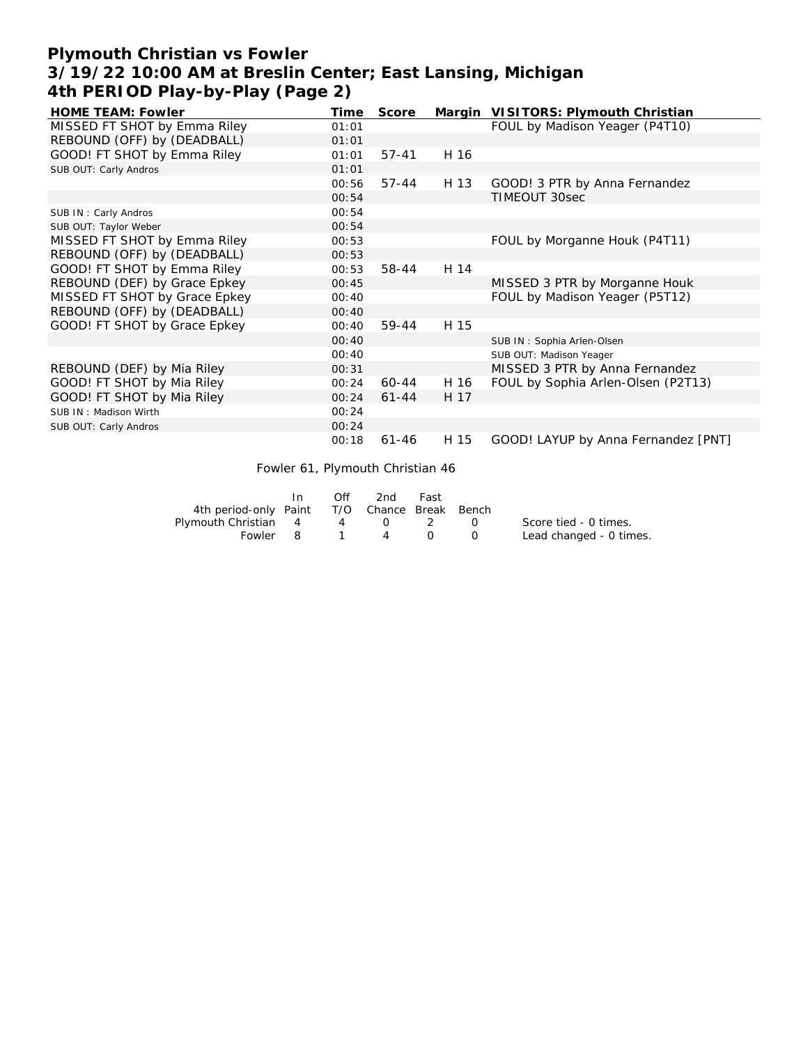# **Plymouth Christian vs Fowler 3/19/22 10:00 AM at Breslin Center; East Lansing, Michigan 4th PERIOD Play-by-Play (Page 2)**

| <b>HOME TEAM: Fowler</b>      | Time  | Score     | Margin | VISITORS: Plymouth Christian        |
|-------------------------------|-------|-----------|--------|-------------------------------------|
| MISSED FT SHOT by Emma Riley  | 01:01 |           |        | FOUL by Madison Yeager (P4T10)      |
| REBOUND (OFF) by (DEADBALL)   | 01:01 |           |        |                                     |
| GOOD! FT SHOT by Emma Riley   | 01:01 | $57 - 41$ | H 16   |                                     |
| SUB OUT: Carly Andros         | 01:01 |           |        |                                     |
|                               | 00:56 | $57 - 44$ | H 13   | GOOD! 3 PTR by Anna Fernandez       |
|                               | 00:54 |           |        | TIMEOUT 30sec                       |
| SUB IN: Carly Andros          | 00:54 |           |        |                                     |
| SUB OUT: Taylor Weber         | 00:54 |           |        |                                     |
| MISSED FT SHOT by Emma Riley  | 00:53 |           |        | FOUL by Morganne Houk (P4T11)       |
| REBOUND (OFF) by (DEADBALL)   | 00:53 |           |        |                                     |
| GOOD! FT SHOT by Emma Riley   | 00:53 | 58-44     | H 14   |                                     |
| REBOUND (DEF) by Grace Epkey  | 00:45 |           |        | MISSED 3 PTR by Morganne Houk       |
| MISSED FT SHOT by Grace Epkey | 00:40 |           |        | FOUL by Madison Yeager (P5T12)      |
| REBOUND (OFF) by (DEADBALL)   | 00:40 |           |        |                                     |
| GOOD! FT SHOT by Grace Epkey  | 00:40 | 59-44     | H 15   |                                     |
|                               | 00:40 |           |        | SUB IN: Sophia Arlen-Olsen          |
|                               | 00:40 |           |        | SUB OUT: Madison Yeager             |
| REBOUND (DEF) by Mia Riley    | 00:31 |           |        | MISSED 3 PTR by Anna Fernandez      |
| GOOD! FT SHOT by Mia Riley    | 00:24 | 60-44     | H 16   | FOUL by Sophia Arlen-Olsen (P2T13)  |
| GOOD! FT SHOT by Mia Riley    | 00:24 | $61 - 44$ | H 17   |                                     |
| SUB IN: Madison Wirth         | 00:24 |           |        |                                     |
| SUB OUT: Carly Andros         | 00:24 |           |        |                                     |
|                               | 00:18 | $61 - 46$ | H 15   | GOOD! LAYUP by Anna Fernandez [PNT] |

Fowler 61, Plymouth Christian 46

|                                              | Off | 2nd -                                                          | Fast |                      |                         |
|----------------------------------------------|-----|----------------------------------------------------------------|------|----------------------|-------------------------|
| 4th period-only Paint T/O Chance Break Bench |     |                                                                |      |                      |                         |
| Plymouth Christian 4 4                       |     | $\left( \begin{array}{ccc} 1 & 1 \\ 1 & 1 \end{array} \right)$ |      | $\sim$ $\sim$ $\sim$ | Score tied - 0 times.   |
| Fowler 8                                     |     | $1 \quad 4$                                                    |      |                      | Lead changed - 0 times. |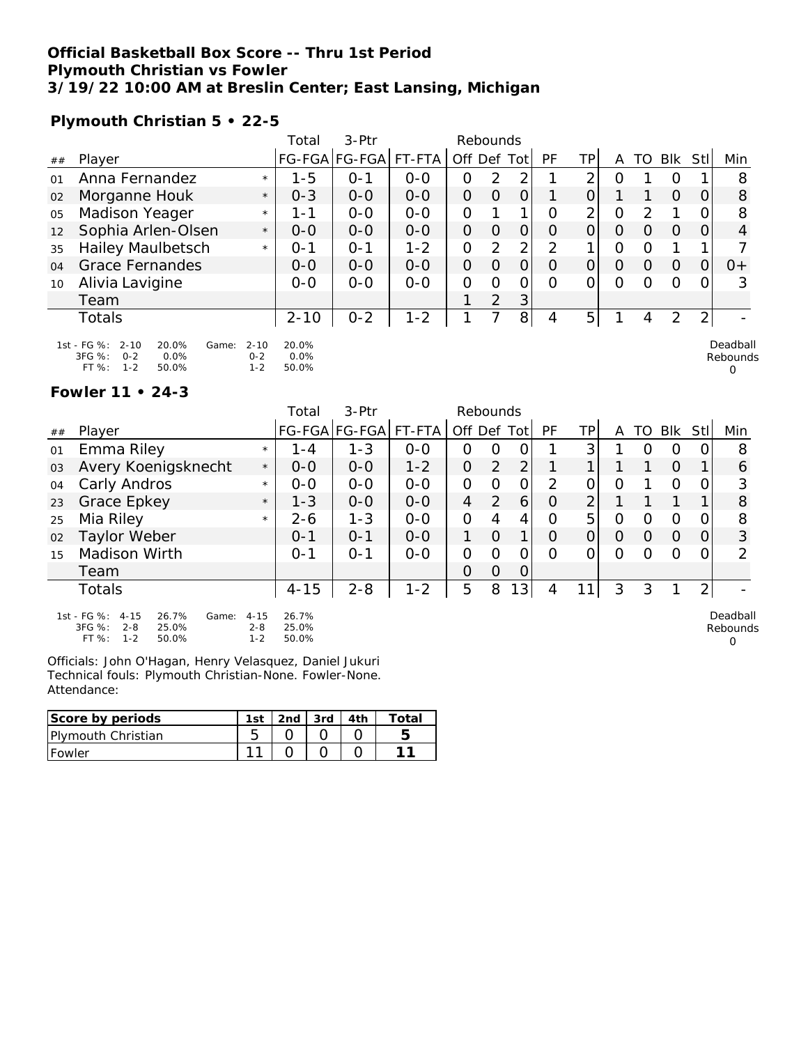### **Official Basketball Box Score -- Thru 1st Period Plymouth Christian vs Fowler 3/19/22 10:00 AM at Breslin Center; East Lansing, Michigan**

**Plymouth Christian 5 • 22-5**

|    |                                                                                                 | Total              | $3-Ptr$              |         |     | Rebounds |                |    |                |   |    |            |     |                      |
|----|-------------------------------------------------------------------------------------------------|--------------------|----------------------|---------|-----|----------|----------------|----|----------------|---|----|------------|-----|----------------------|
| ## | Player                                                                                          |                    | FG-FGA FG-FGA FT-FTA |         | Off | Def      | <b>Tot</b>     | PF | TР             | A | TO | <b>BIK</b> | Stl | Min                  |
| 01 | Anna Fernandez                                                                                  | $1 - 5$<br>$\star$ | 0-1                  | $0 - 0$ | 0   | 2        | ⌒              |    | ⌒              | 0 |    | O          |     | 8                    |
| 02 | Morganne Houk                                                                                   | $0 - 3$<br>$\star$ | $0 - 0$              | $0 - 0$ | Ω   | $\Omega$ | O              |    | $\overline{O}$ |   |    | $\Omega$   |     | 8                    |
| 05 | Madison Yeager                                                                                  | 1-1<br>$\star$     | $0 - 0$              | $0 - 0$ | 0   |          |                | Ω  | $\overline{2}$ | O | っ  |            |     | 8                    |
| 12 | Sophia Arlen-Olsen                                                                              | $0 - 0$<br>$\star$ | $0 - 0$              | $0 - 0$ | 0   | Ο        | O              | O  | 0              | O | O  | $\Omega$   |     | 4                    |
| 35 | <b>Hailey Maulbetsch</b>                                                                        | $O - 1$<br>$\star$ | $O - 1$              | $1 - 2$ | 0   | 2        | $\overline{2}$ | 2  |                | Ο | Ω  |            |     |                      |
| 04 | Grace Fernandes                                                                                 | $O-O$              | $O-O$                | $O - O$ | 0   | O        | O              | O  | 0              | 0 | 0  | $\Omega$   | O   | $0+$                 |
| 10 | Alivia Lavigine                                                                                 | $0 - 0$            | $0 - 0$              | $0 - 0$ | Ω   | ∩        | O              | ი  | ∩              | Ω | Ω  | $\Omega$   |     | 3                    |
|    | Team                                                                                            |                    |                      |         |     | 2        | 3 <sub>l</sub> |    |                |   |    |            |     |                      |
|    | Totals                                                                                          | $2 - 10$           | $0 - 2$              | $1 - 2$ |     |          | 8              | 4  | 5 <sup>1</sup> |   | 4  | 2          | ⌒   |                      |
|    | $1st - FG$ %:<br>20.0%<br>$2 - 10$<br>$2 - 10$<br>Game:<br>3FG %:<br>$0 - 2$<br>0.0%<br>$0 - 2$ | 20.0%<br>$0.0\%$   |                      |         |     |          |                |    |                |   |    |            |     | Deadball<br>Rebounds |

0

0

#### **Fowler 11 • 24-3**

FT %: 1-2 50.0%

|    |                                                                                                        |                                       | Total                             | $3-Ptr$              |         | Rebounds    |          |                |               |     |   |          |          |                |                      |
|----|--------------------------------------------------------------------------------------------------------|---------------------------------------|-----------------------------------|----------------------|---------|-------------|----------|----------------|---------------|-----|---|----------|----------|----------------|----------------------|
| ## | Player                                                                                                 |                                       |                                   | FG-FGA FG-FGA FT-FTA |         | Off Def Tot |          |                | PF            | ТP  | А | TO.      | Blk      | Stll           | Min                  |
| 01 | Emma Riley                                                                                             | $\star$                               | $1 - 4$                           | 1-3                  | $0 - 0$ | Ο           | O        |                |               | 3   |   | O        | O        |                | 8                    |
| 03 | Avery Koenigsknecht                                                                                    | $\star$                               | $0 - 0$                           | $0 - 0$              | $1 - 2$ | 0           | 2        | $\overline{2}$ |               |     |   |          | $\Omega$ |                | 6                    |
| 04 | Carly Andros                                                                                           | $\star$                               | $0 - 0$                           | $O-O$                | $0-0$   | 0           | Ω        | 0              | $\mathcal{P}$ |     | Ω |          | Ω        |                | 3                    |
| 23 | Grace Epkey                                                                                            | $\star$                               | $1 - 3$                           | $0 - 0$              | $0 - 0$ | 4           | 2        | 6              | O             | ⌒   |   |          |          |                | 8                    |
| 25 | Mia Riley                                                                                              | $\star$                               | $2 - 6$                           | $1 - 3$              | $0 - 0$ | 0           | 4        | 4              | O             | 5   | Ω | Ω        | 0        |                | 8                    |
| 02 | Taylor Weber                                                                                           |                                       | $O - 1$                           | $O - 1$              | $0 - 0$ |             | $\Omega$ |                | Ω             |     | O | $\Omega$ | $\Omega$ |                | 3                    |
| 15 | Madison Wirth                                                                                          |                                       | $O - 1$                           | $O - 1$              | $0 - 0$ | Ο           | Ω        |                | Ω             |     | Ω | Ω        | $\Omega$ |                | $\mathcal{P}$        |
|    | Team                                                                                                   |                                       |                                   |                      |         | Ο           | 0        | 0              |               |     |   |          |          |                |                      |
|    | <b>Totals</b>                                                                                          |                                       | $4 - 15$                          | $2 - 8$              | $1 - 2$ | 5           | 8        | 13             | 4             | 111 | 3 | 3        |          | $\overline{2}$ |                      |
|    | 1st - FG %: 4-15<br>26.7%<br>Game:<br>3FG %:<br>25.0%<br>$2 - 8$<br>$FT \Omega L$ $1 \Omega$<br>EO OOZ | $4 - 15$<br>$2 - 8$<br>1 <sub>2</sub> | 26.7%<br>25.0%<br>$E \cap \Omega$ |                      |         |             |          |                |               |     |   |          |          |                | Deadball<br>Rebounds |

Officials: John O'Hagan, Henry Velasquez, Daniel Jukuri Technical fouls: Plymouth Christian-None. Fowler-None. Attendance:

| Score by periods    | 1st | 2nd | $3rd$ | ⊤ota∟ |
|---------------------|-----|-----|-------|-------|
| IPIvmouth Christian |     |     |       |       |
| Fowler              |     |     |       |       |

1-2 50.0%

<sup>3</sup>FG %: 0-2 0.0% FT %: 1-2 50.0% 0-2 0.0% 1-2 50.0%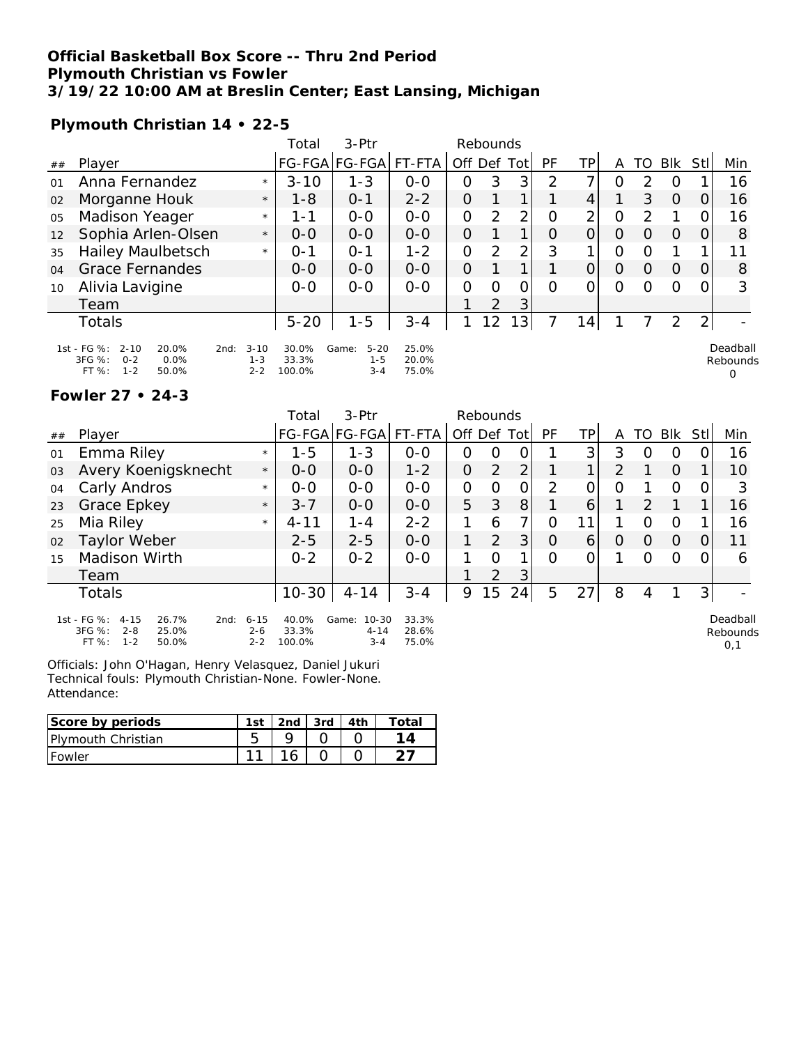### **Official Basketball Box Score -- Thru 2nd Period Plymouth Christian vs Fowler 3/19/22 10:00 AM at Breslin Center; East Lansing, Michigan**

**Plymouth Christian 14 • 22-5**

|                   |                                                                                                       |                                | Total                    | 3-Ptr                                   |                         |             | Rebounds       |                 |    |                |          |          |          |     |                      |
|-------------------|-------------------------------------------------------------------------------------------------------|--------------------------------|--------------------------|-----------------------------------------|-------------------------|-------------|----------------|-----------------|----|----------------|----------|----------|----------|-----|----------------------|
| ##                | Player                                                                                                |                                |                          | FG-FGA FG-FGA  FT-FTA                   |                         | Off Def Tot |                |                 | PF | ΤP             | A        | TO       | Blk      | Stl | Min                  |
| 01                | Anna Fernandez                                                                                        | $\star$                        | $3 - 10$                 | 1-3                                     | $O - O$                 | 0           | 3              | 3               | 2  | ⇁              | Ο        | 2        | O        |     | 16                   |
| 02                | Morganne Houk                                                                                         | $\star$                        | $1 - 8$                  | $O - 1$                                 | $2 - 2$                 | 0           |                | 1               |    | 4              |          | 3        | $\Omega$ |     | 16                   |
| 05                | Madison Yeager                                                                                        | $\star$                        | 1 - 1                    | $0 - 0$                                 | $0 - 0$                 | 0           | 2              | $\overline{2}$  | 0  | $\overline{2}$ | 0        | 2        |          |     | 16                   |
| $12 \overline{ }$ | Sophia Arlen-Olsen                                                                                    | $\star$                        | $O-O$                    | $0 - 0$                                 | $0 - 0$                 | 0           |                | 1               | O  | 0              | $\Omega$ | 0        | $\Omega$ | O   | 8                    |
| 35                | <b>Hailey Maulbetsch</b>                                                                              | $\star$                        | $0 - 1$                  | $O - 1$                                 | $1 - 2$                 | 0           | 2              | $\overline{2}$  | 3  |                | 0        | O        |          |     | 11                   |
| O <sub>4</sub>    | <b>Grace Fernandes</b>                                                                                |                                | $O-O$                    | $0 - 0$                                 | $O-O$                   | 0           |                | 1               |    | 0              | O        | $\Omega$ | $\Omega$ |     | 8                    |
| 10                | Alivia Lavigine                                                                                       |                                | $0 - 0$                  | $0 - 0$                                 | $0 - 0$                 | $\Omega$    | 0              | Ω               | Ω  | 0              | 0        | Ω        | $\Omega$ |     | 3                    |
|                   | Team                                                                                                  |                                |                          |                                         |                         |             | $\overline{2}$ | 3               |    |                |          |          |          |     |                      |
|                   | <b>Totals</b>                                                                                         |                                | $5 - 20$                 | $1 - 5$                                 | $3 - 4$                 |             | 12             | 13 <sub>1</sub> |    | 14.            |          |          | 2        |     |                      |
|                   | 1st - FG %:<br>$2 - 10$<br>20.0%<br>2nd:<br>3FG %:<br>$0 - 2$<br>$0.0\%$<br>FT %:<br>$1 - 2$<br>50.0% | $3 - 10$<br>$1 - 3$<br>$2 - 2$ | 30.0%<br>33.3%<br>100.0% | $5 - 20$<br>Game:<br>$1 - 5$<br>$3 - 4$ | 25.0%<br>20.0%<br>75.0% |             |                |                 |    |                |          |          |          |     | Deadball<br>Rebounds |

#### **Fowler 27 • 24-3**

|    |                                                                                                       |                                | Total                    | $3-$ Ptr                                  |                         |             | Rebounds       |                |          |                 |          |          |                |          |                             |
|----|-------------------------------------------------------------------------------------------------------|--------------------------------|--------------------------|-------------------------------------------|-------------------------|-------------|----------------|----------------|----------|-----------------|----------|----------|----------------|----------|-----------------------------|
| ## | Player                                                                                                |                                |                          | FG-FGA FG-FGA FT-FTA                      |                         | Off Def Tot |                |                | PF       | ΤP              | A        | TO       | Blk            | Stll     | Min                         |
| 01 | Emma Riley                                                                                            | $\star$                        | $1 - 5$                  | $1 - 3$                                   | $O - O$                 | $\Omega$    | $\Omega$       | O              |          | 3               | 3        | $\Omega$ | $\Omega$       | O        | 16                          |
| 03 | Avery Koenigsknecht                                                                                   | $\star$                        | $O-O$                    | $0 - 0$                                   | $1 - 2$                 | $\Omega$    | 2              | $\overline{2}$ |          |                 | 2        |          | $\Omega$       | 1        | 10                          |
| 04 | Carly Andros                                                                                          | $\star$                        | $0 - 0$                  | $0 - 0$                                   | $0 - 0$                 | 0           | $\Omega$       | $\Omega$       | 2        | O               | $\Omega$ |          | $\Omega$       | 0        | 3                           |
| 23 | Grace Epkey                                                                                           | $\star$                        | $3 - 7$                  | $0-0$                                     | $0-0$                   | 5           | 3              | 8 <sup>1</sup> |          | 6               |          | 2        |                |          | 16                          |
| 25 | Mia Riley                                                                                             | $\star$                        | $4 - 11$                 | $1 - 4$                                   | $2 - 2$                 |             | 6              | 7              | $\Omega$ | 11              |          | $\Omega$ | $\Omega$       |          | 16                          |
| 02 | Taylor Weber                                                                                          |                                | $2 - 5$                  | $2 - 5$                                   | $0 - 0$                 |             | 2              | 3 <sup>1</sup> | $\Omega$ | $\vert 6 \vert$ | $\Omega$ | $\Omega$ | $\overline{0}$ | $\Omega$ | 11                          |
| 15 | Madison Wirth                                                                                         |                                | $0 - 2$                  | $0 - 2$                                   | $0 - 0$                 |             | $\Omega$       |                | $\Omega$ |                 |          | $\Omega$ | $\Omega$       | 0        | 6                           |
|    | Team                                                                                                  |                                |                          |                                           |                         |             | $\overline{2}$ | 3 <sup>1</sup> |          |                 |          |          |                |          |                             |
|    | Totals                                                                                                |                                | $10 - 30$                | $4 - 14$                                  | $3 - 4$                 | 9           | 15             | 24             | 5        | 27              | 8        | 4        |                | 3        |                             |
|    | 1st - FG %:<br>$4 - 15$<br>26.7%<br>2nd:<br>3FG %:<br>$2 - 8$<br>25.0%<br>$FT%$ :<br>$1 - 2$<br>50.0% | $6 - 15$<br>$2 - 6$<br>$2 - 2$ | 40.0%<br>33.3%<br>100.0% | Game:<br>$10 - 30$<br>$4 - 14$<br>$3 - 4$ | 33.3%<br>28.6%<br>75.0% |             |                |                |          |                 |          |          |                |          | Deadball<br>Rebounds<br>0,1 |

Officials: John O'Hagan, Henry Velasquez, Daniel Jukuri Technical fouls: Plymouth Christian-None. Fowler-None. Attendance:

| Score by periods           | 1st | 2nd | 3rd | ⊺ota⊩ |
|----------------------------|-----|-----|-----|-------|
| <b>IPlymouth Christian</b> |     |     |     |       |
| <b>IFowler</b>             |     |     |     |       |